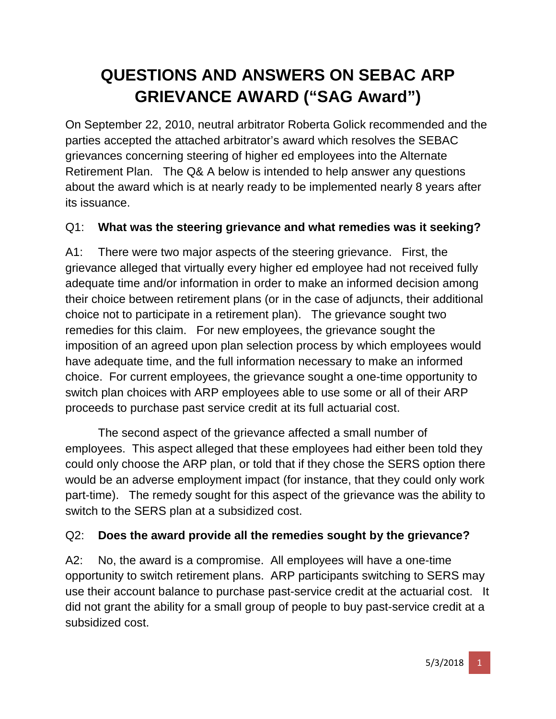# **QUESTIONS AND ANSWERS ON SEBAC ARP GRIEVANCE AWARD ("SAG Award")**

On September 22, 2010, neutral arbitrator Roberta Golick recommended and the parties accepted the attached arbitrator's award which resolves the SEBAC grievances concerning steering of higher ed employees into the Alternate Retirement Plan. The Q& A below is intended to help answer any questions about the award which is at nearly ready to be implemented nearly 8 years after its issuance.

#### Q1: **What was the steering grievance and what remedies was it seeking?**

A1: There were two major aspects of the steering grievance. First, the grievance alleged that virtually every higher ed employee had not received fully adequate time and/or information in order to make an informed decision among their choice between retirement plans (or in the case of adjuncts, their additional choice not to participate in a retirement plan). The grievance sought two remedies for this claim. For new employees, the grievance sought the imposition of an agreed upon plan selection process by which employees would have adequate time, and the full information necessary to make an informed choice. For current employees, the grievance sought a one-time opportunity to switch plan choices with ARP employees able to use some or all of their ARP proceeds to purchase past service credit at its full actuarial cost.

The second aspect of the grievance affected a small number of employees. This aspect alleged that these employees had either been told they could only choose the ARP plan, or told that if they chose the SERS option there would be an adverse employment impact (for instance, that they could only work part-time). The remedy sought for this aspect of the grievance was the ability to switch to the SERS plan at a subsidized cost.

#### Q2: **Does the award provide all the remedies sought by the grievance?**

A2: No, the award is a compromise. All employees will have a one-time opportunity to switch retirement plans. ARP participants switching to SERS may use their account balance to purchase past-service credit at the actuarial cost. It did not grant the ability for a small group of people to buy past-service credit at a subsidized cost.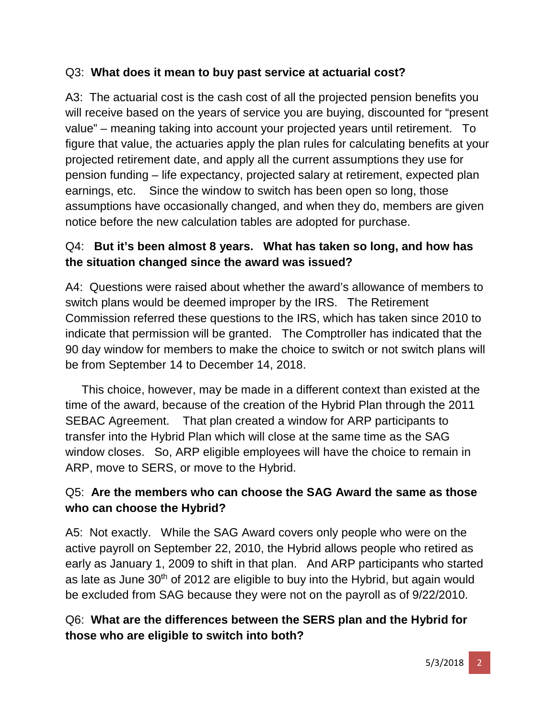#### Q3: **What does it mean to buy past service at actuarial cost?**

A3: The actuarial cost is the cash cost of all the projected pension benefits you will receive based on the years of service you are buying, discounted for "present value" – meaning taking into account your projected years until retirement. To figure that value, the actuaries apply the plan rules for calculating benefits at your projected retirement date, and apply all the current assumptions they use for pension funding – life expectancy, projected salary at retirement, expected plan earnings, etc. Since the window to switch has been open so long, those assumptions have occasionally changed, and when they do, members are given notice before the new calculation tables are adopted for purchase.

## Q4: **But it's been almost 8 years. What has taken so long, and how has the situation changed since the award was issued?**

A4: Questions were raised about whether the award's allowance of members to switch plans would be deemed improper by the IRS. The Retirement Commission referred these questions to the IRS, which has taken since 2010 to indicate that permission will be granted. The Comptroller has indicated that the 90 day window for members to make the choice to switch or not switch plans will be from September 14 to December 14, 2018.

 This choice, however, may be made in a different context than existed at the time of the award, because of the creation of the Hybrid Plan through the 2011 SEBAC Agreement. That plan created a window for ARP participants to transfer into the Hybrid Plan which will close at the same time as the SAG window closes. So, ARP eligible employees will have the choice to remain in ARP, move to SERS, or move to the Hybrid.

## Q5: **Are the members who can choose the SAG Award the same as those who can choose the Hybrid?**

A5: Not exactly. While the SAG Award covers only people who were on the active payroll on September 22, 2010, the Hybrid allows people who retired as early as January 1, 2009 to shift in that plan. And ARP participants who started as late as June 30<sup>th</sup> of 2012 are eligible to buy into the Hybrid, but again would be excluded from SAG because they were not on the payroll as of 9/22/2010.

# Q6: **What are the differences between the SERS plan and the Hybrid for those who are eligible to switch into both?**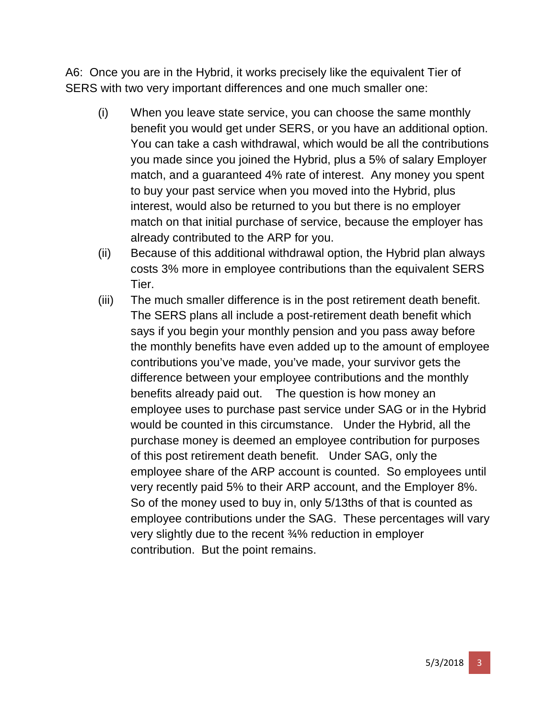A6: Once you are in the Hybrid, it works precisely like the equivalent Tier of SERS with two very important differences and one much smaller one:

- (i) When you leave state service, you can choose the same monthly benefit you would get under SERS, or you have an additional option. You can take a cash withdrawal, which would be all the contributions you made since you joined the Hybrid, plus a 5% of salary Employer match, and a guaranteed 4% rate of interest. Any money you spent to buy your past service when you moved into the Hybrid, plus interest, would also be returned to you but there is no employer match on that initial purchase of service, because the employer has already contributed to the ARP for you.
- (ii) Because of this additional withdrawal option, the Hybrid plan always costs 3% more in employee contributions than the equivalent SERS Tier.
- (iii) The much smaller difference is in the post retirement death benefit. The SERS plans all include a post-retirement death benefit which says if you begin your monthly pension and you pass away before the monthly benefits have even added up to the amount of employee contributions you've made, you've made, your survivor gets the difference between your employee contributions and the monthly benefits already paid out. The question is how money an employee uses to purchase past service under SAG or in the Hybrid would be counted in this circumstance. Under the Hybrid, all the purchase money is deemed an employee contribution for purposes of this post retirement death benefit. Under SAG, only the employee share of the ARP account is counted. So employees until very recently paid 5% to their ARP account, and the Employer 8%. So of the money used to buy in, only 5/13ths of that is counted as employee contributions under the SAG. These percentages will vary very slightly due to the recent ¾% reduction in employer contribution. But the point remains.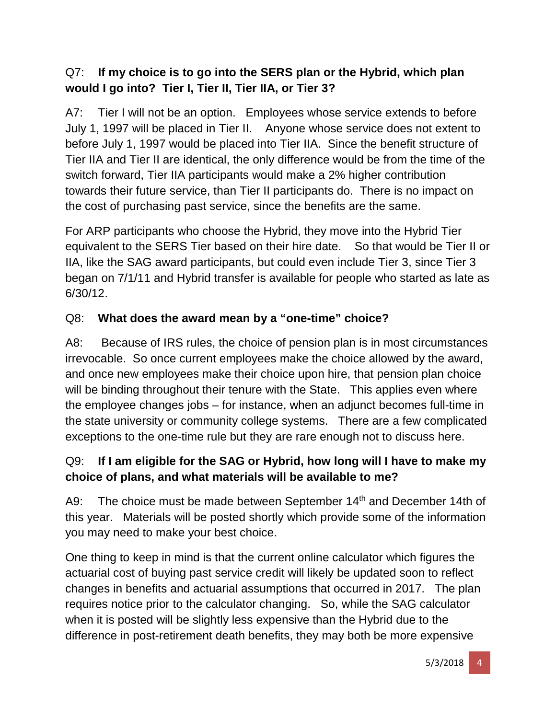## Q7: **If my choice is to go into the SERS plan or the Hybrid, which plan would I go into? Tier I, Tier II, Tier IIA, or Tier 3?**

A7: Tier I will not be an option. Employees whose service extends to before July 1, 1997 will be placed in Tier II. Anyone whose service does not extent to before July 1, 1997 would be placed into Tier IIA. Since the benefit structure of Tier IIA and Tier II are identical, the only difference would be from the time of the switch forward, Tier IIA participants would make a 2% higher contribution towards their future service, than Tier II participants do. There is no impact on the cost of purchasing past service, since the benefits are the same.

For ARP participants who choose the Hybrid, they move into the Hybrid Tier equivalent to the SERS Tier based on their hire date. So that would be Tier II or IIA, like the SAG award participants, but could even include Tier 3, since Tier 3 began on 7/1/11 and Hybrid transfer is available for people who started as late as 6/30/12.

#### Q8: **What does the award mean by a "one-time" choice?**

A8: Because of IRS rules, the choice of pension plan is in most circumstances irrevocable. So once current employees make the choice allowed by the award, and once new employees make their choice upon hire, that pension plan choice will be binding throughout their tenure with the State. This applies even where the employee changes jobs – for instance, when an adjunct becomes full-time in the state university or community college systems. There are a few complicated exceptions to the one-time rule but they are rare enough not to discuss here.

## Q9: **If I am eligible for the SAG or Hybrid, how long will I have to make my choice of plans, and what materials will be available to me?**

A9: The choice must be made between September 14<sup>th</sup> and December 14th of this year. Materials will be posted shortly which provide some of the information you may need to make your best choice.

One thing to keep in mind is that the current online calculator which figures the actuarial cost of buying past service credit will likely be updated soon to reflect changes in benefits and actuarial assumptions that occurred in 2017. The plan requires notice prior to the calculator changing. So, while the SAG calculator when it is posted will be slightly less expensive than the Hybrid due to the difference in post-retirement death benefits, they may both be more expensive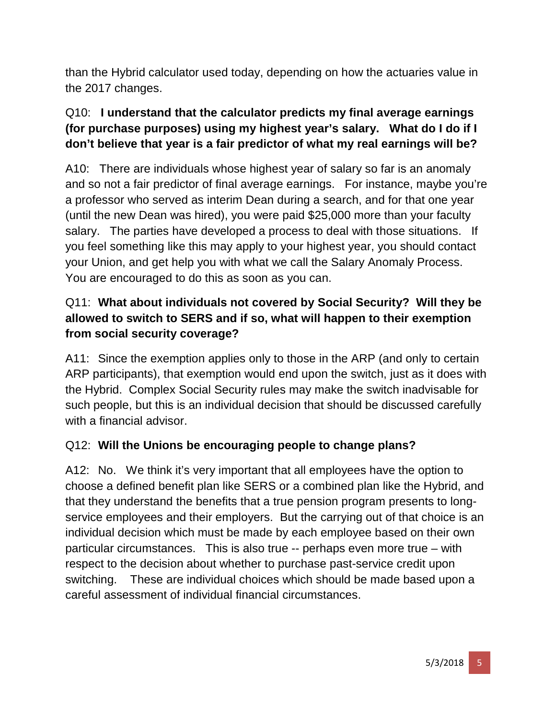than the Hybrid calculator used today, depending on how the actuaries value in the 2017 changes.

## Q10: **I understand that the calculator predicts my final average earnings (for purchase purposes) using my highest year's salary. What do I do if I don't believe that year is a fair predictor of what my real earnings will be?**

A10: There are individuals whose highest year of salary so far is an anomaly and so not a fair predictor of final average earnings. For instance, maybe you're a professor who served as interim Dean during a search, and for that one year (until the new Dean was hired), you were paid \$25,000 more than your faculty salary. The parties have developed a process to deal with those situations. If you feel something like this may apply to your highest year, you should contact your Union, and get help you with what we call the Salary Anomaly Process. You are encouraged to do this as soon as you can.

# Q11: **What about individuals not covered by Social Security? Will they be allowed to switch to SERS and if so, what will happen to their exemption from social security coverage?**

A11: Since the exemption applies only to those in the ARP (and only to certain ARP participants), that exemption would end upon the switch, just as it does with the Hybrid. Complex Social Security rules may make the switch inadvisable for such people, but this is an individual decision that should be discussed carefully with a financial advisor.

# Q12: **Will the Unions be encouraging people to change plans?**

A12: No. We think it's very important that all employees have the option to choose a defined benefit plan like SERS or a combined plan like the Hybrid, and that they understand the benefits that a true pension program presents to longservice employees and their employers. But the carrying out of that choice is an individual decision which must be made by each employee based on their own particular circumstances. This is also true -- perhaps even more true – with respect to the decision about whether to purchase past-service credit upon switching. These are individual choices which should be made based upon a careful assessment of individual financial circumstances.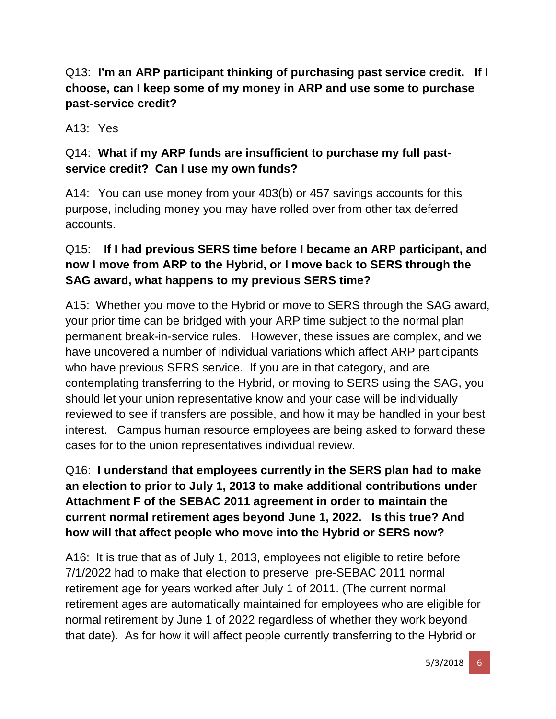Q13: **I'm an ARP participant thinking of purchasing past service credit. If I choose, can I keep some of my money in ARP and use some to purchase past-service credit?**

A13: Yes

# Q14: **What if my ARP funds are insufficient to purchase my full pastservice credit? Can I use my own funds?**

A14: You can use money from your 403(b) or 457 savings accounts for this purpose, including money you may have rolled over from other tax deferred accounts.

# Q15: **If I had previous SERS time before I became an ARP participant, and now I move from ARP to the Hybrid, or I move back to SERS through the SAG award, what happens to my previous SERS time?**

A15: Whether you move to the Hybrid or move to SERS through the SAG award, your prior time can be bridged with your ARP time subject to the normal plan permanent break-in-service rules. However, these issues are complex, and we have uncovered a number of individual variations which affect ARP participants who have previous SERS service. If you are in that category, and are contemplating transferring to the Hybrid, or moving to SERS using the SAG, you should let your union representative know and your case will be individually reviewed to see if transfers are possible, and how it may be handled in your best interest. Campus human resource employees are being asked to forward these cases for to the union representatives individual review.

## Q16: **I understand that employees currently in the SERS plan had to make an election to prior to July 1, 2013 to make additional contributions under Attachment F of the SEBAC 2011 agreement in order to maintain the current normal retirement ages beyond June 1, 2022. Is this true? And how will that affect people who move into the Hybrid or SERS now?**

A16: It is true that as of July 1, 2013, employees not eligible to retire before 7/1/2022 had to make that election to preserve pre-SEBAC 2011 normal retirement age for years worked after July 1 of 2011. (The current normal retirement ages are automatically maintained for employees who are eligible for normal retirement by June 1 of 2022 regardless of whether they work beyond that date). As for how it will affect people currently transferring to the Hybrid or